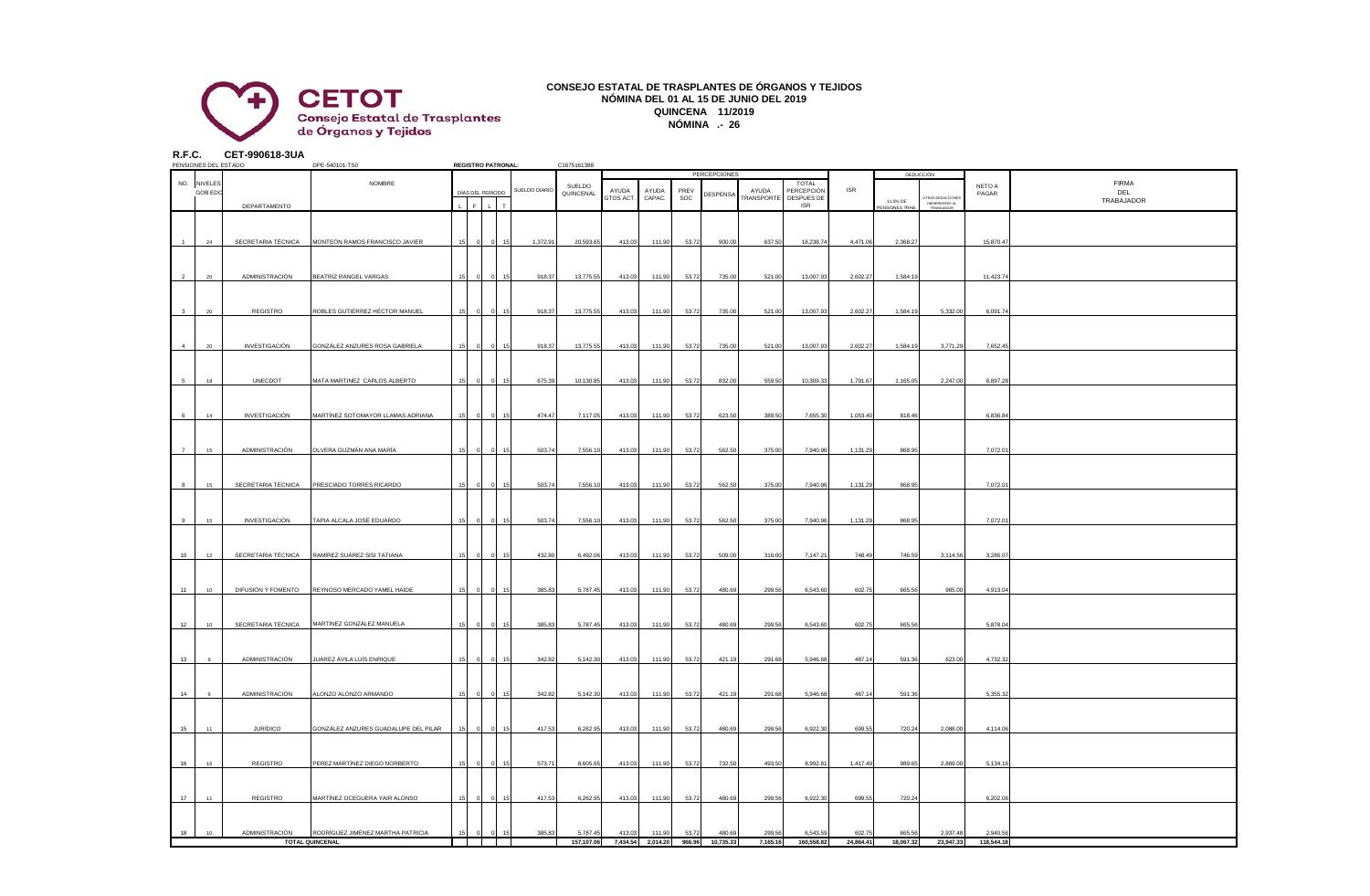

## **CONSEJO ESTATAL DE TRASPLANTES DE ÓRGANOS Y TEJIDOS NÓMINA DEL 01 AL 15 DE JUNIO DEL 2019 QUINCENA 11/2019 NÓMINA .- 26**

**R.F.C. CET-990618-3UA**

|                | PENSIONES DEL ESTADO          |                    | DPE-540101-TS0                                    |    |             | <b>REGISTRO PATRONAL:</b> |               | C1675161388 |           |                   |        |                     |            |                                   |            |             |                                                  |            |                     |
|----------------|-------------------------------|--------------------|---------------------------------------------------|----|-------------|---------------------------|---------------|-------------|-----------|-------------------|--------|---------------------|------------|-----------------------------------|------------|-------------|--------------------------------------------------|------------|---------------------|
|                |                               |                    |                                                   |    |             |                           |               |             |           |                   |        | <b>PERCEPCIONES</b> |            |                                   |            |             | <b>DEDUCCIÓN</b>                                 |            |                     |
|                | NO. NIVELES<br><b>GOB EDO</b> |                    | NOMBRE                                            |    |             | DÍAS DEL PERIODO          | SUELDO DIARIO | SUELDO      | AYUDA     | AYUDA             | PREV   |                     | AYUDA      | <b>TOTAL</b><br><b>PERCEPCIÓN</b> | <b>ISR</b> |             |                                                  | NETO A     | <b>FIRMA</b><br>DEL |
|                |                               |                    |                                                   |    |             |                           |               | QUINCENAL   | GTOS ACT. | CAPAC.            | SOC    | DESPENSA            | TRANSPORTE | DESPUES DE                        |            | 11.5% DE    | TRAS DEDUCCIONES<br>INEHERENTES AL<br>TRABAJADOR | PAGAR      | TRABAJADOR          |
|                |                               | DEPARTAMENTO       |                                                   |    | $\mathsf F$ |                           |               |             |           |                   |        |                     |            | <b>ISR</b>                        |            | NSIONES TRA |                                                  |            |                     |
|                |                               |                    |                                                   |    |             |                           |               |             |           |                   |        |                     |            |                                   |            |             |                                                  |            |                     |
|                |                               |                    |                                                   |    |             |                           |               |             |           |                   |        |                     |            |                                   |            |             |                                                  |            |                     |
|                | 24                            |                    | SECRETARIA TÉCNICA MONTEÓN RAMOS FRANCISCO JAVIER | 15 |             |                           | 1,372.91      | 20,593.65   | 413.03    | 111.90            | 53.72  | 900.00              | 637.50     | 18,238.74                         | 4,471.06   | 2,368.27    |                                                  | 15,870.47  |                     |
|                |                               |                    |                                                   |    |             |                           |               |             |           |                   |        |                     |            |                                   |            |             |                                                  |            |                     |
|                |                               |                    |                                                   |    |             |                           |               |             |           |                   |        |                     |            |                                   |            |             |                                                  |            |                     |
|                |                               |                    |                                                   |    |             |                           |               |             |           |                   |        |                     |            |                                   |            |             |                                                  |            |                     |
|                | 20                            | ADMINISTRACIÓN     | BEATRIZ RANGEL VARGAS                             |    |             |                           | 918.37        | 13,775.55   | 413.03    | 111.90            | 53.72  | 735.00              | 521.00     | 13,007.93                         | 2,602.27   | 1,584.19    |                                                  | 11,423.74  |                     |
|                |                               |                    |                                                   |    |             |                           |               |             |           |                   |        |                     |            |                                   |            |             |                                                  |            |                     |
|                |                               |                    |                                                   |    |             |                           |               |             |           |                   |        |                     |            |                                   |            |             |                                                  |            |                     |
|                | 20                            | REGISTRO           | ROBLES GUTIÉRREZ HÉCTOR MANUEL                    | 15 |             |                           | 918.37        | 13,775.55   | 413.03    | 111.90            | 53.72  | 735.00              | 521.00     | 13,007.9                          | 2,602.27   | 1,584.19    | 5,332.00                                         | 6,091.74   |                     |
|                |                               |                    |                                                   |    |             |                           |               |             |           |                   |        |                     |            |                                   |            |             |                                                  |            |                     |
|                |                               |                    |                                                   |    |             |                           |               |             |           |                   |        |                     |            |                                   |            |             |                                                  |            |                     |
| $\overline{a}$ | $20\,$                        | INVESTIGACIÓN      | GONZÁLEZ ANZURES ROSA GABRIELA                    | 15 |             |                           | 918.37        | 13,775.55   | 413.03    | 111.90            | 53.72  | 735.00              | 521.00     | 13,007.93                         | 2,602.27   | 1,584.19    | 3,771.29                                         | 7,652.45   |                     |
|                |                               |                    |                                                   |    |             |                           |               |             |           |                   |        |                     |            |                                   |            |             |                                                  |            |                     |
|                |                               |                    |                                                   |    |             |                           |               |             |           |                   |        |                     |            |                                   |            |             |                                                  |            |                     |
|                |                               |                    |                                                   |    |             |                           |               |             |           |                   |        |                     |            |                                   |            |             |                                                  |            |                     |
|                | 18                            | UNECDOT            | MATA MARTINEZ CARLOS ALBERTO                      |    |             |                           | 675.39        | 10,130.85   | 413.03    | 111.90            | 53.72  | 832.00              | 559.50     | 10,309.33                         | 1,791.67   | 1,165.05    | 2,247.00                                         | 6,897.28   |                     |
|                |                               |                    |                                                   |    |             |                           |               |             |           |                   |        |                     |            |                                   |            |             |                                                  |            |                     |
|                |                               |                    |                                                   |    |             |                           |               |             |           |                   |        |                     |            |                                   |            |             |                                                  |            |                     |
|                | 14                            | INVESTIGACIÓN      | MARTÍNEZ SOTOMAYOR LLAMAS ADRIANA                 |    |             |                           | 474.47        | 7,117.05    | 413.03    | 111.90            | 53.72  | 623.50              | 389.50     | 7,655.30                          | 1,053.40   | 818.46      |                                                  | 6,836.84   |                     |
|                |                               |                    |                                                   |    |             |                           |               |             |           |                   |        |                     |            |                                   |            |             |                                                  |            |                     |
|                |                               |                    |                                                   |    |             |                           |               |             |           |                   |        |                     |            |                                   |            |             |                                                  |            |                     |
| $\overline{7}$ | 15                            | ADMINISTRACIÓN     | OLVERA GUZMÁN ANA MARÍA                           | 15 |             |                           | 503.74        | 7,556.10    | 413.03    | 111.90            | 53.72  | 562.50              | 375.00     | 7,940.96                          | 1,131.29   | 868.95      |                                                  | 7,072.01   |                     |
|                |                               |                    |                                                   |    |             |                           |               |             |           |                   |        |                     |            |                                   |            |             |                                                  |            |                     |
|                |                               |                    |                                                   |    |             |                           |               |             |           |                   |        |                     |            |                                   |            |             |                                                  |            |                     |
|                |                               |                    |                                                   |    |             |                           |               |             |           |                   |        |                     |            |                                   |            |             |                                                  |            |                     |
| $\mathbf{a}$   | 15                            |                    | SECRETARIA TÉCNICA PRESCIADO TORRES RICARDO       | 15 |             |                           | 503.74        | 7,556.10    | 413.03    | 111.90            | 53.72  | 562.50              | 375.00     | 7,940.96                          | 1,131.29   | 868.9       |                                                  | 7,072.0    |                     |
|                |                               |                    |                                                   |    |             |                           |               |             |           |                   |        |                     |            |                                   |            |             |                                                  |            |                     |
|                |                               |                    |                                                   |    |             |                           |               |             |           |                   |        |                     |            |                                   |            |             |                                                  |            |                     |
|                | 15                            | INVESTIGACIÓN      | TAPIA ALCALA JOSÉ EDUARDO                         | 15 |             |                           | 503.74        | 7,556.10    | 413.03    | 111.90            | 53.72  | 562.50              | 375.00     | 7,940.96                          | 1,131.29   | 868.95      |                                                  | 7,072.01   |                     |
|                |                               |                    |                                                   |    |             |                           |               |             |           |                   |        |                     |            |                                   |            |             |                                                  |            |                     |
|                |                               |                    |                                                   |    |             |                           |               |             |           |                   |        |                     |            |                                   |            |             |                                                  |            |                     |
| 10             | 12                            |                    | SECRETARIA TÉCNICA RAMÍREZ SUÁREZ SISI TATIANA    |    |             |                           | 432.80        | 6,492.06    | 413.03    | 111.90            | 53.72  | 509.00              | 316.00     | 7,147.21                          | 748.49     | 746.59      | 3,114.56                                         | 3,286.07   |                     |
|                |                               |                    |                                                   |    |             |                           |               |             |           |                   |        |                     |            |                                   |            |             |                                                  |            |                     |
|                |                               |                    |                                                   |    |             |                           |               |             |           |                   |        |                     |            |                                   |            |             |                                                  |            |                     |
|                |                               |                    |                                                   |    |             |                           |               |             |           |                   |        |                     |            |                                   |            |             |                                                  |            |                     |
| 11             | 10 <sub>1</sub>               | DIFUSIÓN Y FOMENTO | REYNOSO MERCADO YAMEL HAIDE                       |    |             |                           | 385.83        | 5,787.45    | 413.03    | 111.90            | 53.72  | 480.69              | 299.56     | 6,543.60                          | 602.75     | 665.56      | 965.00                                           | 4,913.04   |                     |
|                |                               |                    |                                                   |    |             |                           |               |             |           |                   |        |                     |            |                                   |            |             |                                                  |            |                     |
|                |                               |                    |                                                   |    |             |                           |               |             |           |                   |        |                     |            |                                   |            |             |                                                  |            |                     |
| 12             | 10                            | SECRETARIA TÉCNICA | MARTÍNEZ GONZÁLEZ MANUELA                         |    |             |                           | 385.83        | 5,787.45    | 413.03    | 111.90            | 53.72  | 480.69              | 299.56     | 6,543.60                          | 602.75     | 665.56      |                                                  | 5,878.0    |                     |
|                |                               |                    |                                                   |    |             |                           |               |             |           |                   |        |                     |            |                                   |            |             |                                                  |            |                     |
|                |                               |                    |                                                   |    |             |                           |               |             |           |                   |        |                     |            |                                   |            |             |                                                  |            |                     |
| 13             |                               | ADMINISTRACIÓN     | JUÁREZ ÁVILA LUÍS ENRIQUE                         | 15 |             |                           | 342.82        | 5,142.30    | 413.03    | 111.90            | 53.72  | 421.19              | 291.68     | 5,946.68                          | 487.14     | 591.36      | 623.00                                           | 4,732.32   |                     |
|                |                               |                    |                                                   |    |             |                           |               |             |           |                   |        |                     |            |                                   |            |             |                                                  |            |                     |
|                |                               |                    |                                                   |    |             |                           |               |             |           |                   |        |                     |            |                                   |            |             |                                                  |            |                     |
|                |                               |                    |                                                   |    |             |                           |               |             |           |                   |        |                     |            |                                   |            |             |                                                  |            |                     |
| 14             |                               | ADMINISTRACIÓN     | ALONZO ALONZO ARMANDO                             | 15 |             |                           | 342.82        | 5.142.30    | 413.03    | 111.90            | 53.72  | 421.19              | 291.68     | 5,946.68                          | 487.14     | 591.36      |                                                  | 5.355.32   |                     |
|                |                               |                    |                                                   |    |             |                           |               |             |           |                   |        |                     |            |                                   |            |             |                                                  |            |                     |
|                |                               |                    |                                                   |    |             |                           |               |             |           |                   |        |                     |            |                                   |            |             |                                                  |            |                     |
| 15             | 11                            | <b>JURÍDICO</b>    | GONZÁLEZ ANZURES GUADALUPE DEL PILAR              | 15 |             |                           | 417.53        | 6,262.95    | 413.03    | 111.90            | 53.72  | 480.69              | 299.56     | 6,922.30                          | 699.55     | 720.24      | 2,088.00                                         | 4,114.06   |                     |
|                |                               |                    |                                                   |    |             |                           |               |             |           |                   |        |                     |            |                                   |            |             |                                                  |            |                     |
|                |                               |                    |                                                   |    |             |                           |               |             |           |                   |        |                     |            |                                   |            |             |                                                  |            |                     |
| 16             | 16                            | REGISTRO           | PEREZ MARTÍNEZ DIEGO NORBERTO                     | 15 | $\Omega$    | 15                        | 573.71        | 8,605.65    | 413.03    | 111.90            | 53.72  | 732.50              | 493.50     | 8,992.81                          | 1,417.49   | 989.65      | 2,869.00                                         | 5,134.16   |                     |
|                |                               |                    |                                                   |    |             |                           |               |             |           |                   |        |                     |            |                                   |            |             |                                                  |            |                     |
|                |                               |                    |                                                   |    |             |                           |               |             |           |                   |        |                     |            |                                   |            |             |                                                  |            |                     |
|                |                               |                    |                                                   |    |             |                           |               |             |           |                   |        |                     |            |                                   |            |             |                                                  |            |                     |
| 17             | 11                            | REGISTRO           | MARTÍNEZ OCEGUERA YAIR ALONSO                     |    |             |                           | 417.53        | 6,262.95    | 413.03    | 111.90            | 53.72  | 480.69              | 299.56     | 6,922.30                          | 699.55     | 720.24      |                                                  | 6,202.06   |                     |
|                |                               |                    |                                                   |    |             |                           |               |             |           |                   |        |                     |            |                                   |            |             |                                                  |            |                     |
|                |                               |                    |                                                   |    |             |                           |               |             |           |                   |        |                     |            |                                   |            |             |                                                  |            |                     |
| 18             | 10 <sub>10</sub>              | ADMINISTRACIÓN     | RODRÍGUEZ JIMÉNEZ MARTHA PATRICIA                 |    |             |                           | 385.83        | 5,787.45    | 413.03    | 111.90            | 53.72  | 480.69              | 299.56     | 6,543.5                           | 602.75     | 665.56      | 2,937.48                                         | 2,940.56   |                     |
|                |                               |                    | <b>TOTAL QUINCENAL</b>                            |    |             |                           |               | 157,107.06  |           | 7,434.54 2,014.20 | 966.96 | 10,735.33           | 7,165.16   | 160,558.82                        | 24,864.41  | 18,067.32   | 23,947.33                                        | 118,544.18 |                     |